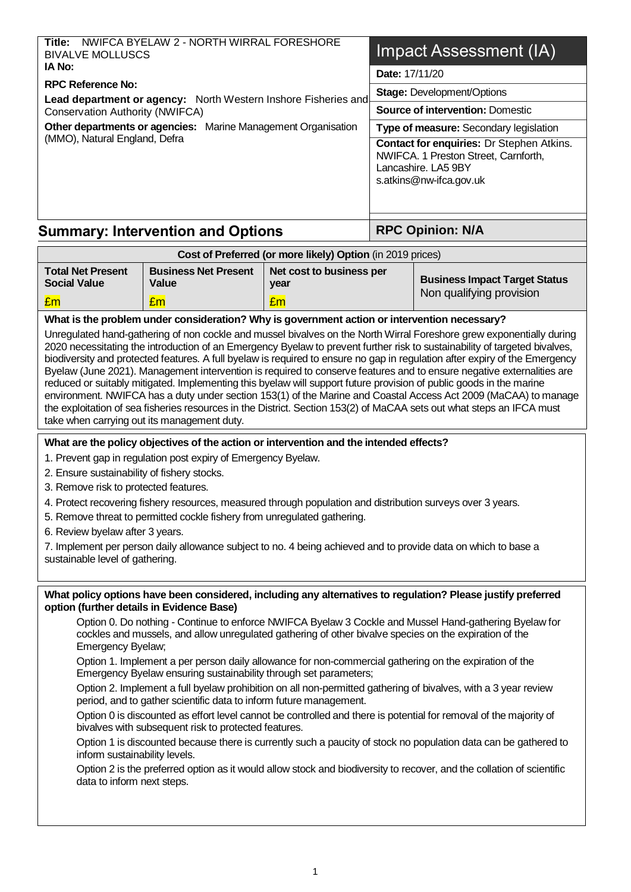| Cost of Proferred (ex more likely) Ontion (in 2010 prices)                                        |                                                                                                                                                                                      |  |  |
|---------------------------------------------------------------------------------------------------|--------------------------------------------------------------------------------------------------------------------------------------------------------------------------------------|--|--|
| <b>Summary: Intervention and Options</b>                                                          | <b>RPC Opinion: N/A</b>                                                                                                                                                              |  |  |
| Other departments or agencies:<br>Marine Management Organisation<br>(MMO), Natural England, Defra | <b>Type of measure: Secondary legislation</b><br>Contact for enquiries: Dr Stephen Atkins.<br>NWIFCA. 1 Preston Street, Carnforth,<br>Lancashire. LA5 9BY<br>s.atkins@nw-ifca.gov.uk |  |  |
| Conservation Authority (NWIFCA)                                                                   | <b>Source of intervention: Domestic</b>                                                                                                                                              |  |  |
| <b>RPC Reference No:</b><br>Lead department or agency: North Western Inshore Fisheries and        | <b>Stage: Development/Options</b>                                                                                                                                                    |  |  |
| IA No:                                                                                            | Date: 17/11/20                                                                                                                                                                       |  |  |
| NWIFCA BYELAW 2 - NORTH WIRRAL FORESHORE<br>Title:<br><b>BIVALVE MOLLUSCS</b>                     | Impact Assessment (IA)                                                                                                                                                               |  |  |

| <b>OUSE OF FIGICITION TOF HIGHG HINGLY / ODEIOH THE ZUTS DIRECT</b> |                                      |                                  |                                      |  |  |  |  |
|---------------------------------------------------------------------|--------------------------------------|----------------------------------|--------------------------------------|--|--|--|--|
| <b>Total Net Present</b><br><b>Social Value</b>                     | <b>Business Net Present</b><br>Value | Net cost to business per<br>vear | <b>Business Impact Target Status</b> |  |  |  |  |
| Em                                                                  | $E$ m $\overline{E}$                 | Em                               | Non qualifying provision             |  |  |  |  |

#### **What is the problem under consideration? Why is government action or intervention necessary?**

Unregulated hand-gathering of non cockle and mussel bivalves on the North Wirral Foreshore grew exponentially during 2020 necessitating the introduction of an Emergency Byelaw to prevent further risk to sustainability of targeted bivalves, biodiversity and protected features. A full byelaw is required to ensure no gap in regulation after expiry of the Emergency Byelaw (June 2021). Management intervention is required to conserve features and to ensure negative externalities are reduced or suitably mitigated. Implementing this byelaw will support future provision of public goods in the marine environment. NWIFCA has a duty under section 153(1) of the Marine and Coastal Access Act 2009 (MaCAA) to manage the exploitation of sea fisheries resources in the District. Section 153(2) of MaCAA sets out what steps an IFCA must take when carrying out its management duty.

#### **What are the policy objectives of the action or intervention and the intended effects?**

- 1. Prevent gap in regulation post expiry of Emergency Byelaw.
- 2. Ensure sustainability of fishery stocks.
- 3. Remove risk to protected features.
- 4. Protect recovering fishery resources, measured through population and distribution surveys over 3 years.
- 5. Remove threat to permitted cockle fishery from unregulated gathering.
- 6. Review byelaw after 3 years.

7. Implement per person daily allowance subject to no. 4 being achieved and to provide data on which to base a sustainable level of gathering.

#### **What policy options have been considered, including any alternatives to regulation? Please justify preferred option (further details in Evidence Base)**

Option 0. Do nothing - Continue to enforce NWIFCA Byelaw 3 Cockle and Mussel Hand-gathering Byelaw for cockles and mussels, and allow unregulated gathering of other bivalve species on the expiration of the Emergency Byelaw;

Option 1. Implement a per person daily allowance for non-commercial gathering on the expiration of the Emergency Byelaw ensuring sustainability through set parameters;

Option 2. Implement a full byelaw prohibition on all non-permitted gathering of bivalves, with a 3 year review period, and to gather scientific data to inform future management.

Option 0 is discounted as effort level cannot be controlled and there is potential for removal of the majority of bivalves with subsequent risk to protected features.

Option 1 is discounted because there is currently such a paucity of stock no population data can be gathered to inform sustainability levels.

Option 2 is the preferred option as it would allow stock and biodiversity to recover, and the collation of scientific data to inform next steps.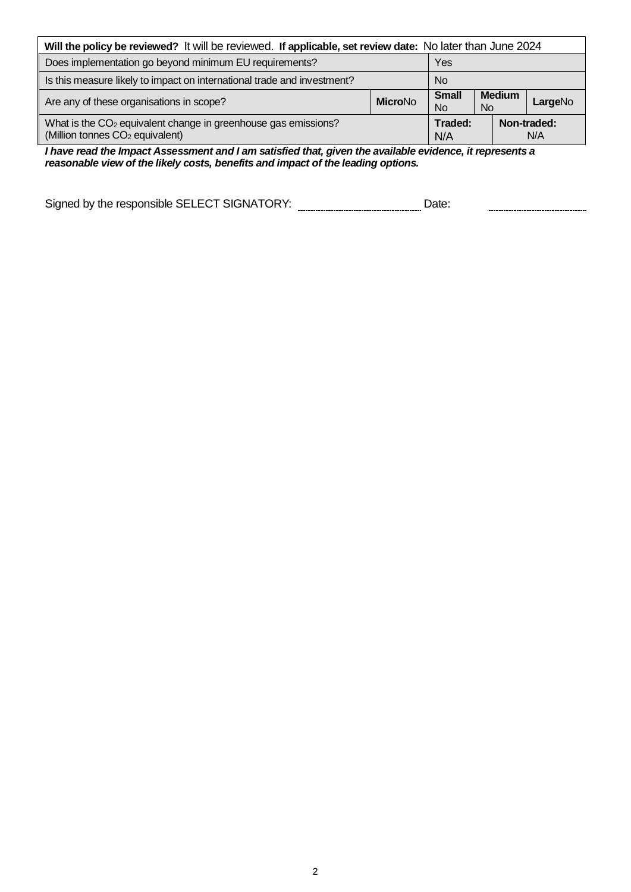| Will the policy be reviewed? It will be reviewed. If applicable, set review date: No later than June 2024                 |                |                           |                      |  |                    |  |
|---------------------------------------------------------------------------------------------------------------------------|----------------|---------------------------|----------------------|--|--------------------|--|
| Does implementation go beyond minimum EU requirements?                                                                    |                | Yes                       |                      |  |                    |  |
| Is this measure likely to impact on international trade and investment?                                                   | <b>No</b>      |                           |                      |  |                    |  |
| Are any of these organisations in scope?                                                                                  | <b>MicroNo</b> | <b>Small</b><br><b>No</b> | <b>Medium</b><br>No. |  | LargeNo            |  |
| What is the CO <sub>2</sub> equivalent change in greenhouse gas emissions?<br>(Million tonnes CO <sub>2</sub> equivalent) |                | Traded:<br>N/A            |                      |  | Non-traded:<br>N/A |  |

*I have read the Impact Assessment and I am satisfied that, given the available evidence, it represents a reasonable view of the likely costs, benefits and impact of the leading options.*

Signed by the responsible SELECT SIGNATORY: \_\_\_\_\_\_\_\_\_\_\_\_\_\_\_\_\_\_\_\_\_\_\_\_\_\_\_Date: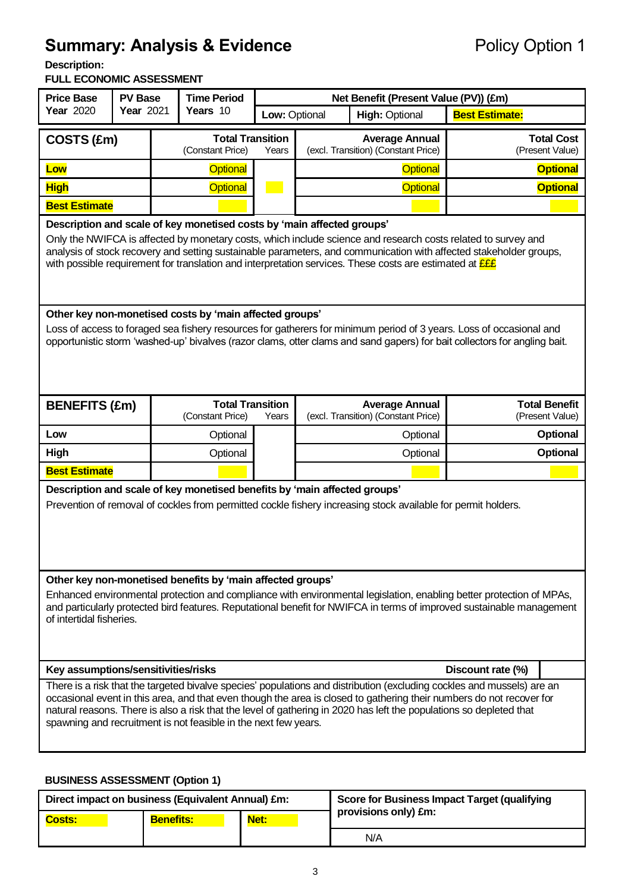# **Summary: Analysis & Evidence** Policy Option 1

**Description:** 

#### **FULL ECONOMIC ASSESSMENT**

| <b>Price Base</b><br><b>PV Base</b><br><b>Year 2020</b><br>Year 2021                                                                                                                                                                                                                                                                                                                                                                     |  | <b>Time Period</b><br>Years 10 |                                             | Net Benefit (Present Value (PV)) (£m) |                                                              |  |                                      |                                         |
|------------------------------------------------------------------------------------------------------------------------------------------------------------------------------------------------------------------------------------------------------------------------------------------------------------------------------------------------------------------------------------------------------------------------------------------|--|--------------------------------|---------------------------------------------|---------------------------------------|--------------------------------------------------------------|--|--------------------------------------|-----------------------------------------|
|                                                                                                                                                                                                                                                                                                                                                                                                                                          |  |                                |                                             |                                       | Low: Optional<br><b>High: Optional</b>                       |  | <b>Best Estimate:</b>                |                                         |
| COSTS (£m)                                                                                                                                                                                                                                                                                                                                                                                                                               |  |                                | <b>Total Transition</b><br>(Constant Price) | Years                                 | <b>Average Annual</b><br>(excl. Transition) (Constant Price) |  | <b>Total Cost</b><br>(Present Value) |                                         |
| Low                                                                                                                                                                                                                                                                                                                                                                                                                                      |  |                                | <b>Optional</b>                             |                                       | <b>Optional</b>                                              |  | <b>Optional</b>                      |                                         |
| <b>High</b>                                                                                                                                                                                                                                                                                                                                                                                                                              |  |                                | <b>Optional</b>                             |                                       | Optional                                                     |  | <b>Optional</b>                      |                                         |
| <b>Best Estimate</b>                                                                                                                                                                                                                                                                                                                                                                                                                     |  |                                |                                             |                                       |                                                              |  |                                      |                                         |
| Description and scale of key monetised costs by 'main affected groups'<br>Only the NWIFCA is affected by monetary costs, which include science and research costs related to survey and<br>analysis of stock recovery and setting sustainable parameters, and communication with affected stakeholder groups,<br>with possible requirement for translation and interpretation services. These costs are estimated at <b>EEE</b>          |  |                                |                                             |                                       |                                                              |  |                                      |                                         |
| Other key non-monetised costs by 'main affected groups'<br>Loss of access to foraged sea fishery resources for gatherers for minimum period of 3 years. Loss of occasional and<br>opportunistic storm 'washed-up' bivalves (razor clams, otter clams and sand gapers) for bait collectors for angling bait.                                                                                                                              |  |                                |                                             |                                       |                                                              |  |                                      |                                         |
| <b>BENEFITS (£m)</b>                                                                                                                                                                                                                                                                                                                                                                                                                     |  |                                | <b>Total Transition</b><br>(Constant Price) | Years                                 | <b>Average Annual</b><br>(excl. Transition) (Constant Price) |  |                                      | <b>Total Benefit</b><br>(Present Value) |
| Low                                                                                                                                                                                                                                                                                                                                                                                                                                      |  |                                | Optional                                    |                                       | Optional                                                     |  |                                      | <b>Optional</b>                         |
| High                                                                                                                                                                                                                                                                                                                                                                                                                                     |  |                                | Optional                                    |                                       | Optional                                                     |  | Optional                             |                                         |
| <b>Best Estimate</b>                                                                                                                                                                                                                                                                                                                                                                                                                     |  |                                |                                             |                                       |                                                              |  |                                      |                                         |
| Description and scale of key monetised benefits by 'main affected groups'<br>Prevention of removal of cockles from permitted cockle fishery increasing stock available for permit holders.                                                                                                                                                                                                                                               |  |                                |                                             |                                       |                                                              |  |                                      |                                         |
| Other key non-monetised benefits by 'main affected groups'<br>Enhanced environmental protection and compliance with environmental legislation, enabling better protection of MPAs,<br>and particularly protected bird features. Reputational benefit for NWIFCA in terms of improved sustainable management<br>of intertidal fisheries.                                                                                                  |  |                                |                                             |                                       |                                                              |  |                                      |                                         |
| Key assumptions/sensitivities/risks<br>Discount rate (%)                                                                                                                                                                                                                                                                                                                                                                                 |  |                                |                                             |                                       |                                                              |  |                                      |                                         |
| There is a risk that the targeted bivalve species' populations and distribution (excluding cockles and mussels) are an<br>occasional event in this area, and that even though the area is closed to gathering their numbers do not recover for<br>natural reasons. There is also a risk that the level of gathering in 2020 has left the populations so depleted that<br>spawning and recruitment is not feasible in the next few years. |  |                                |                                             |                                       |                                                              |  |                                      |                                         |

## **BUSINESS ASSESSMENT (Option 1)**

|               | Direct impact on business (Equivalent Annual) £m: |      | <b>Score for Business Impact Target (qualifying</b> |
|---------------|---------------------------------------------------|------|-----------------------------------------------------|
| <b>Costs:</b> | <b>Benefits:</b>                                  | Net: | provisions only) £m:                                |
|               |                                                   |      | N/A                                                 |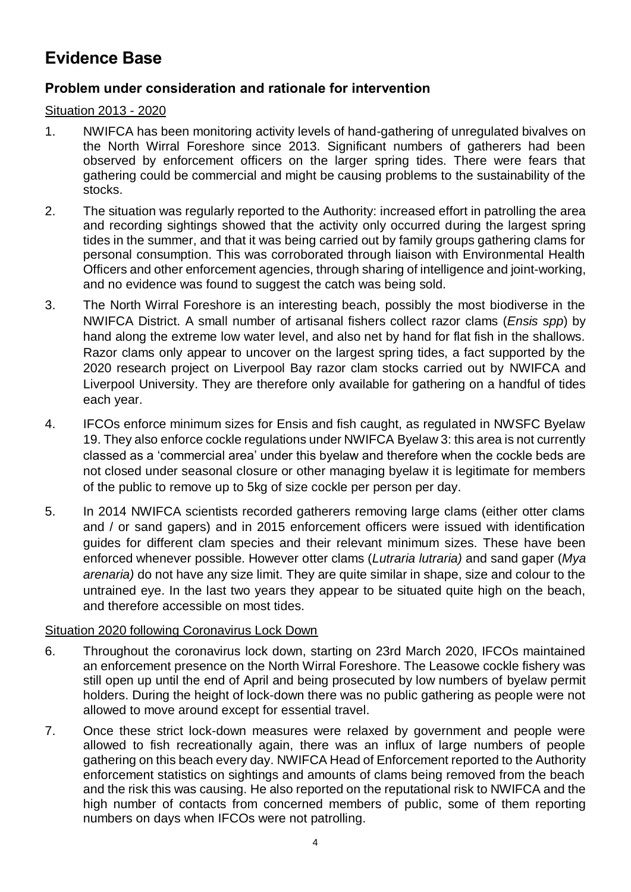# **Evidence Base**

# **Problem under consideration and rationale for intervention**

### Situation 2013 - 2020

- 1. NWIFCA has been monitoring activity levels of hand-gathering of unregulated bivalves on the North Wirral Foreshore since 2013. Significant numbers of gatherers had been observed by enforcement officers on the larger spring tides. There were fears that gathering could be commercial and might be causing problems to the sustainability of the stocks.
- 2. The situation was regularly reported to the Authority: increased effort in patrolling the area and recording sightings showed that the activity only occurred during the largest spring tides in the summer, and that it was being carried out by family groups gathering clams for personal consumption. This was corroborated through liaison with Environmental Health Officers and other enforcement agencies, through sharing of intelligence and joint-working, and no evidence was found to suggest the catch was being sold.
- 3. The North Wirral Foreshore is an interesting beach, possibly the most biodiverse in the NWIFCA District. A small number of artisanal fishers collect razor clams (*Ensis spp*) by hand along the extreme low water level, and also net by hand for flat fish in the shallows. Razor clams only appear to uncover on the largest spring tides, a fact supported by the 2020 research project on Liverpool Bay razor clam stocks carried out by NWIFCA and Liverpool University. They are therefore only available for gathering on a handful of tides each year.
- 4. IFCOs enforce minimum sizes for Ensis and fish caught, as regulated in NWSFC Byelaw 19. They also enforce cockle regulations under NWIFCA Byelaw 3: this area is not currently classed as a 'commercial area' under this byelaw and therefore when the cockle beds are not closed under seasonal closure or other managing byelaw it is legitimate for members of the public to remove up to 5kg of size cockle per person per day.
- 5. In 2014 NWIFCA scientists recorded gatherers removing large clams (either otter clams and / or sand gapers) and in 2015 enforcement officers were issued with identification guides for different clam species and their relevant minimum sizes. These have been enforced whenever possible. However otter clams (*Lutraria lutraria)* and sand gaper (*Mya arenaria)* do not have any size limit. They are quite similar in shape, size and colour to the untrained eye. In the last two years they appear to be situated quite high on the beach, and therefore accessible on most tides.

#### Situation 2020 following Coronavirus Lock Down

- 6. Throughout the coronavirus lock down, starting on 23rd March 2020, IFCOs maintained an enforcement presence on the North Wirral Foreshore. The Leasowe cockle fishery was still open up until the end of April and being prosecuted by low numbers of byelaw permit holders. During the height of lock-down there was no public gathering as people were not allowed to move around except for essential travel.
- 7. Once these strict lock-down measures were relaxed by government and people were allowed to fish recreationally again, there was an influx of large numbers of people gathering on this beach every day. NWIFCA Head of Enforcement reported to the Authority enforcement statistics on sightings and amounts of clams being removed from the beach and the risk this was causing. He also reported on the reputational risk to NWIFCA and the high number of contacts from concerned members of public, some of them reporting numbers on days when IFCOs were not patrolling.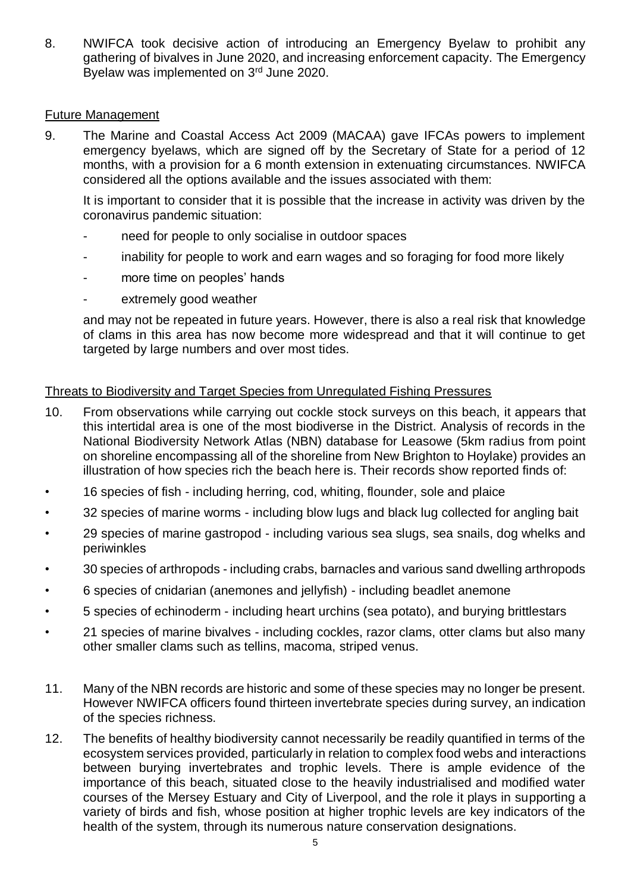8. NWIFCA took decisive action of introducing an Emergency Byelaw to prohibit any gathering of bivalves in June 2020, and increasing enforcement capacity. The Emergency Byelaw was implemented on 3rd June 2020.

#### Future Management

9. The Marine and Coastal Access Act 2009 (MACAA) gave IFCAs powers to implement emergency byelaws, which are signed off by the Secretary of State for a period of 12 months, with a provision for a 6 month extension in extenuating circumstances. NWIFCA considered all the options available and the issues associated with them:

It is important to consider that it is possible that the increase in activity was driven by the coronavirus pandemic situation:

- need for people to only socialise in outdoor spaces
- inability for people to work and earn wages and so foraging for food more likely
- more time on peoples' hands
- extremely good weather

and may not be repeated in future years. However, there is also a real risk that knowledge of clams in this area has now become more widespread and that it will continue to get targeted by large numbers and over most tides.

#### Threats to Biodiversity and Target Species from Unregulated Fishing Pressures

- 10. From observations while carrying out cockle stock surveys on this beach, it appears that this intertidal area is one of the most biodiverse in the District. Analysis of records in the National Biodiversity Network Atlas (NBN) database for Leasowe (5km radius from point on shoreline encompassing all of the shoreline from New Brighton to Hoylake) provides an illustration of how species rich the beach here is. Their records show reported finds of:
- 16 species of fish including herring, cod, whiting, flounder, sole and plaice
- 32 species of marine worms including blow lugs and black lug collected for angling bait
- 29 species of marine gastropod including various sea slugs, sea snails, dog whelks and periwinkles
- 30 species of arthropods including crabs, barnacles and various sand dwelling arthropods
- 6 species of cnidarian (anemones and jellyfish) including beadlet anemone
- 5 species of echinoderm including heart urchins (sea potato), and burying brittlestars
- 21 species of marine bivalves including cockles, razor clams, otter clams but also many other smaller clams such as tellins, macoma, striped venus.
- 11. Many of the NBN records are historic and some of these species may no longer be present. However NWIFCA officers found thirteen invertebrate species during survey, an indication of the species richness.
- 12. The benefits of healthy biodiversity cannot necessarily be readily quantified in terms of the ecosystem services provided, particularly in relation to complex food webs and interactions between burying invertebrates and trophic levels. There is ample evidence of the importance of this beach, situated close to the heavily industrialised and modified water courses of the Mersey Estuary and City of Liverpool, and the role it plays in supporting a variety of birds and fish, whose position at higher trophic levels are key indicators of the health of the system, through its numerous nature conservation designations.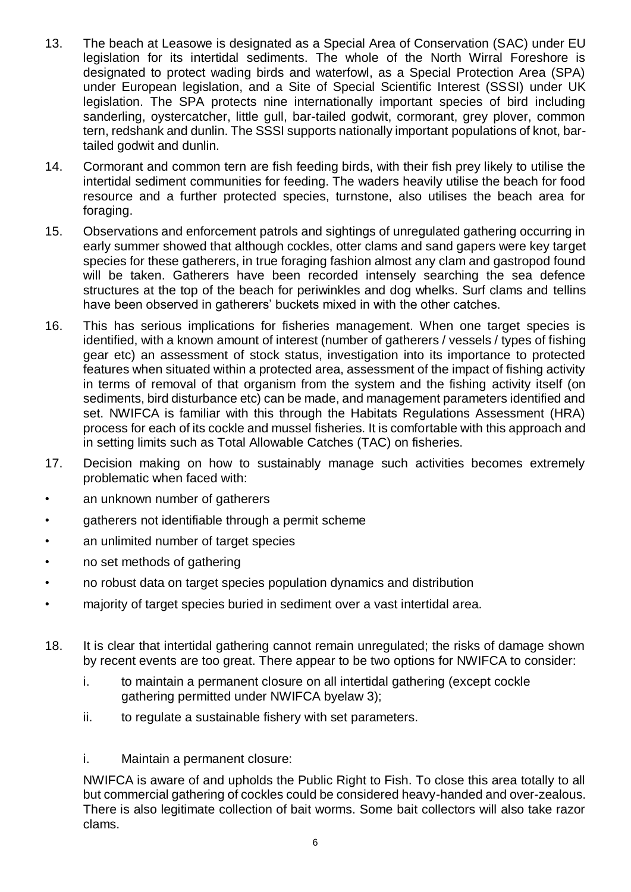- 13. The beach at Leasowe is designated as a Special Area of Conservation (SAC) under EU legislation for its intertidal sediments. The whole of the North Wirral Foreshore is designated to protect wading birds and waterfowl, as a Special Protection Area (SPA) under European legislation, and a Site of Special Scientific Interest (SSSI) under UK legislation. The SPA protects nine internationally important species of bird including sanderling, oystercatcher, little gull, bar-tailed godwit, cormorant, grey plover, common tern, redshank and dunlin. The SSSI supports nationally important populations of knot, bartailed godwit and dunlin.
- 14. Cormorant and common tern are fish feeding birds, with their fish prey likely to utilise the intertidal sediment communities for feeding. The waders heavily utilise the beach for food resource and a further protected species, turnstone, also utilises the beach area for foraging.
- 15. Observations and enforcement patrols and sightings of unregulated gathering occurring in early summer showed that although cockles, otter clams and sand gapers were key target species for these gatherers, in true foraging fashion almost any clam and gastropod found will be taken. Gatherers have been recorded intensely searching the sea defence structures at the top of the beach for periwinkles and dog whelks. Surf clams and tellins have been observed in gatherers' buckets mixed in with the other catches.
- 16. This has serious implications for fisheries management. When one target species is identified, with a known amount of interest (number of gatherers / vessels / types of fishing gear etc) an assessment of stock status, investigation into its importance to protected features when situated within a protected area, assessment of the impact of fishing activity in terms of removal of that organism from the system and the fishing activity itself (on sediments, bird disturbance etc) can be made, and management parameters identified and set. NWIFCA is familiar with this through the Habitats Regulations Assessment (HRA) process for each of its cockle and mussel fisheries. It is comfortable with this approach and in setting limits such as Total Allowable Catches (TAC) on fisheries.
- 17. Decision making on how to sustainably manage such activities becomes extremely problematic when faced with:
- an unknown number of gatherers
- gatherers not identifiable through a permit scheme
- an unlimited number of target species
- no set methods of gathering
- no robust data on target species population dynamics and distribution
- majority of target species buried in sediment over a vast intertidal area.
- 18. It is clear that intertidal gathering cannot remain unregulated; the risks of damage shown by recent events are too great. There appear to be two options for NWIFCA to consider:
	- i. to maintain a permanent closure on all intertidal gathering (except cockle gathering permitted under NWIFCA byelaw 3);
	- ii. to regulate a sustainable fishery with set parameters.
	- i. Maintain a permanent closure:

NWIFCA is aware of and upholds the Public Right to Fish. To close this area totally to all but commercial gathering of cockles could be considered heavy-handed and over-zealous. There is also legitimate collection of bait worms. Some bait collectors will also take razor clams.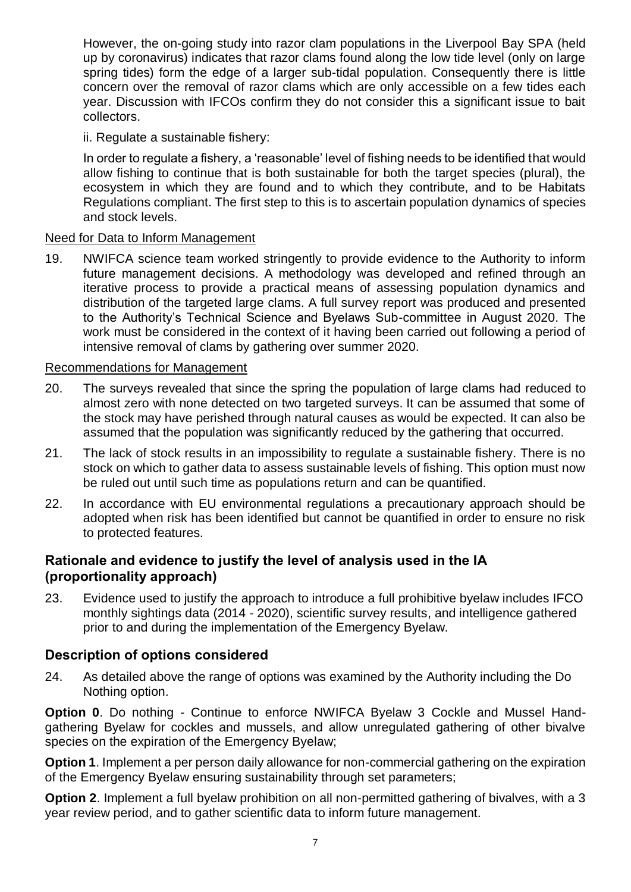However, the on-going study into razor clam populations in the Liverpool Bay SPA (held up by coronavirus) indicates that razor clams found along the low tide level (only on large spring tides) form the edge of a larger sub-tidal population. Consequently there is little concern over the removal of razor clams which are only accessible on a few tides each year. Discussion with IFCOs confirm they do not consider this a significant issue to bait collectors.

### ii. Regulate a sustainable fishery:

In order to regulate a fishery, a 'reasonable' level of fishing needs to be identified that would allow fishing to continue that is both sustainable for both the target species (plural), the ecosystem in which they are found and to which they contribute, and to be Habitats Regulations compliant. The first step to this is to ascertain population dynamics of species and stock levels.

#### Need for Data to Inform Management

19. NWIFCA science team worked stringently to provide evidence to the Authority to inform future management decisions. A methodology was developed and refined through an iterative process to provide a practical means of assessing population dynamics and distribution of the targeted large clams. A full survey report was produced and presented to the Authority's Technical Science and Byelaws Sub-committee in August 2020. The work must be considered in the context of it having been carried out following a period of intensive removal of clams by gathering over summer 2020.

### Recommendations for Management

- 20. The surveys revealed that since the spring the population of large clams had reduced to almost zero with none detected on two targeted surveys. It can be assumed that some of the stock may have perished through natural causes as would be expected. It can also be assumed that the population was significantly reduced by the gathering that occurred.
- 21. The lack of stock results in an impossibility to regulate a sustainable fishery. There is no stock on which to gather data to assess sustainable levels of fishing. This option must now be ruled out until such time as populations return and can be quantified.
- 22. In accordance with EU environmental regulations a precautionary approach should be adopted when risk has been identified but cannot be quantified in order to ensure no risk to protected features.

## **Rationale and evidence to justify the level of analysis used in the IA (proportionality approach)**

23. Evidence used to justify the approach to introduce a full prohibitive byelaw includes IFCO monthly sightings data (2014 - 2020), scientific survey results, and intelligence gathered prior to and during the implementation of the Emergency Byelaw.

## **Description of options considered**

24. As detailed above the range of options was examined by the Authority including the Do Nothing option.

**Option 0**. Do nothing - Continue to enforce NWIFCA Byelaw 3 Cockle and Mussel Handgathering Byelaw for cockles and mussels, and allow unregulated gathering of other bivalve species on the expiration of the Emergency Byelaw;

**Option 1**. Implement a per person daily allowance for non-commercial gathering on the expiration of the Emergency Byelaw ensuring sustainability through set parameters;

**Option 2**. Implement a full byelaw prohibition on all non-permitted gathering of bivalves, with a 3 year review period, and to gather scientific data to inform future management.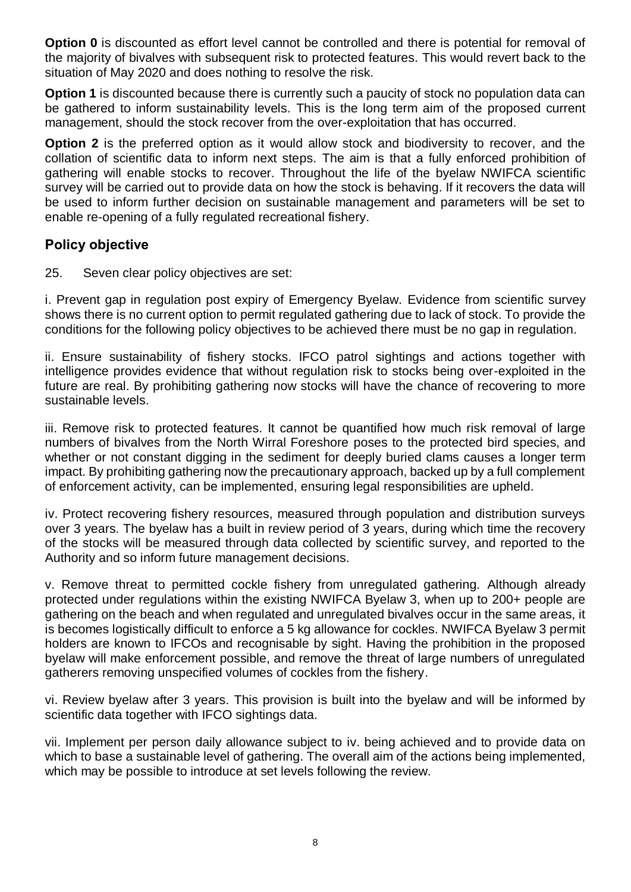**Option 0** is discounted as effort level cannot be controlled and there is potential for removal of the majority of bivalves with subsequent risk to protected features. This would revert back to the situation of May 2020 and does nothing to resolve the risk.

**Option 1** is discounted because there is currently such a paucity of stock no population data can be gathered to inform sustainability levels. This is the long term aim of the proposed current management, should the stock recover from the over-exploitation that has occurred.

**Option 2** is the preferred option as it would allow stock and biodiversity to recover, and the collation of scientific data to inform next steps. The aim is that a fully enforced prohibition of gathering will enable stocks to recover. Throughout the life of the byelaw NWIFCA scientific survey will be carried out to provide data on how the stock is behaving. If it recovers the data will be used to inform further decision on sustainable management and parameters will be set to enable re-opening of a fully regulated recreational fishery.

# **Policy objective**

25. Seven clear policy objectives are set:

i. Prevent gap in regulation post expiry of Emergency Byelaw. Evidence from scientific survey shows there is no current option to permit regulated gathering due to lack of stock. To provide the conditions for the following policy objectives to be achieved there must be no gap in regulation.

ii. Ensure sustainability of fishery stocks. IFCO patrol sightings and actions together with intelligence provides evidence that without regulation risk to stocks being over-exploited in the future are real. By prohibiting gathering now stocks will have the chance of recovering to more sustainable levels.

iii. Remove risk to protected features. It cannot be quantified how much risk removal of large numbers of bivalves from the North Wirral Foreshore poses to the protected bird species, and whether or not constant digging in the sediment for deeply buried clams causes a longer term impact. By prohibiting gathering now the precautionary approach, backed up by a full complement of enforcement activity, can be implemented, ensuring legal responsibilities are upheld.

iv. Protect recovering fishery resources, measured through population and distribution surveys over 3 years. The byelaw has a built in review period of 3 years, during which time the recovery of the stocks will be measured through data collected by scientific survey, and reported to the Authority and so inform future management decisions.

v. Remove threat to permitted cockle fishery from unregulated gathering. Although already protected under regulations within the existing NWIFCA Byelaw 3, when up to 200+ people are gathering on the beach and when regulated and unregulated bivalves occur in the same areas, it is becomes logistically difficult to enforce a 5 kg allowance for cockles. NWIFCA Byelaw 3 permit holders are known to IFCOs and recognisable by sight. Having the prohibition in the proposed byelaw will make enforcement possible, and remove the threat of large numbers of unregulated gatherers removing unspecified volumes of cockles from the fishery.

vi. Review byelaw after 3 years. This provision is built into the byelaw and will be informed by scientific data together with IFCO sightings data.

vii. Implement per person daily allowance subject to iv. being achieved and to provide data on which to base a sustainable level of gathering. The overall aim of the actions being implemented, which may be possible to introduce at set levels following the review.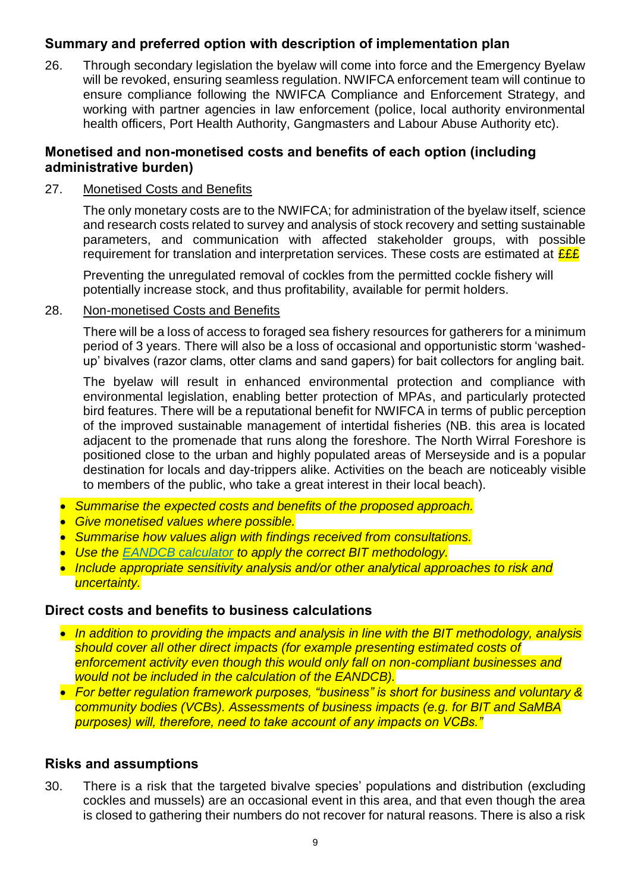# **Summary and preferred option with description of implementation plan**

26. Through secondary legislation the byelaw will come into force and the Emergency Byelaw will be revoked, ensuring seamless regulation. NWIFCA enforcement team will continue to ensure compliance following the NWIFCA Compliance and Enforcement Strategy, and working with partner agencies in law enforcement (police, local authority environmental health officers, Port Health Authority, Gangmasters and Labour Abuse Authority etc).

## **Monetised and non-monetised costs and benefits of each option (including administrative burden)**

## 27. Monetised Costs and Benefits

The only monetary costs are to the NWIFCA; for administration of the byelaw itself, science and research costs related to survey and analysis of stock recovery and setting sustainable parameters, and communication with affected stakeholder groups, with possible requirement for translation and interpretation services. These costs are estimated at  $\frac{\mathcal{E} \mathcal{E} \mathcal{E}}{\mathcal{E} \mathcal{E}}$ 

Preventing the unregulated removal of cockles from the permitted cockle fishery will potentially increase stock, and thus profitability, available for permit holders.

#### 28. Non-monetised Costs and Benefits

There will be a loss of access to foraged sea fishery resources for gatherers for a minimum period of 3 years. There will also be a loss of occasional and opportunistic storm 'washedup' bivalves (razor clams, otter clams and sand gapers) for bait collectors for angling bait.

The byelaw will result in enhanced environmental protection and compliance with environmental legislation, enabling better protection of MPAs, and particularly protected bird features. There will be a reputational benefit for NWIFCA in terms of public perception of the improved sustainable management of intertidal fisheries (NB. this area is located adjacent to the promenade that runs along the foreshore. The North Wirral Foreshore is positioned close to the urban and highly populated areas of Merseyside and is a popular destination for locals and day-trippers alike. Activities on the beach are noticeably visible to members of the public, who take a great interest in their local beach).

- *Summarise the expected costs and benefits of the proposed approach.*
- *Give monetised values where possible.*
- *Summarise how values align with findings received from consultations.*
- *Use the [EANDCB calculator](https://assets.publishing.service.gov.uk/government/uploads/system/uploads/attachment_data/file/786862/EANDCB_Impact_Assessment_Calculator_2019_March_User_Guide.docx) to apply the correct BIT methodology.*
- *Include appropriate sensitivity analysis and/or other analytical approaches to risk and uncertainty.*

## **Direct costs and benefits to business calculations**

- *In addition to providing the impacts and analysis in line with the BIT methodology, analysis should cover all other direct impacts (for example presenting estimated costs of enforcement activity even though this would only fall on non-compliant businesses and would not be included in the calculation of the EANDCB).*
- *For better regulation framework purposes, "business" is short for business and voluntary & community bodies (VCBs). Assessments of business impacts (e.g. for BIT and SaMBA purposes) will, therefore, need to take account of any impacts on VCBs."*

## **Risks and assumptions**

30. There is a risk that the targeted bivalve species' populations and distribution (excluding cockles and mussels) are an occasional event in this area, and that even though the area is closed to gathering their numbers do not recover for natural reasons. There is also a risk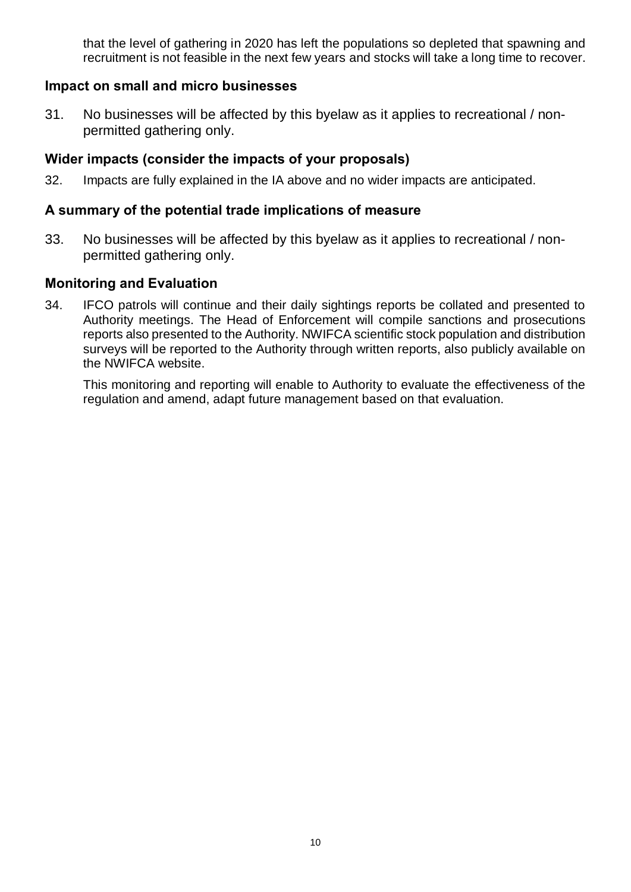that the level of gathering in 2020 has left the populations so depleted that spawning and recruitment is not feasible in the next few years and stocks will take a long time to recover.

## **Impact on small and micro businesses**

31. No businesses will be affected by this byelaw as it applies to recreational / nonpermitted gathering only.

# **Wider impacts (consider the impacts of your proposals)**

32. Impacts are fully explained in the IA above and no wider impacts are anticipated.

## **A summary of the potential trade implications of measure**

33. No businesses will be affected by this byelaw as it applies to recreational / nonpermitted gathering only.

## **Monitoring and Evaluation**

34. IFCO patrols will continue and their daily sightings reports be collated and presented to Authority meetings. The Head of Enforcement will compile sanctions and prosecutions reports also presented to the Authority. NWIFCA scientific stock population and distribution surveys will be reported to the Authority through written reports, also publicly available on the NWIFCA website.

This monitoring and reporting will enable to Authority to evaluate the effectiveness of the regulation and amend, adapt future management based on that evaluation.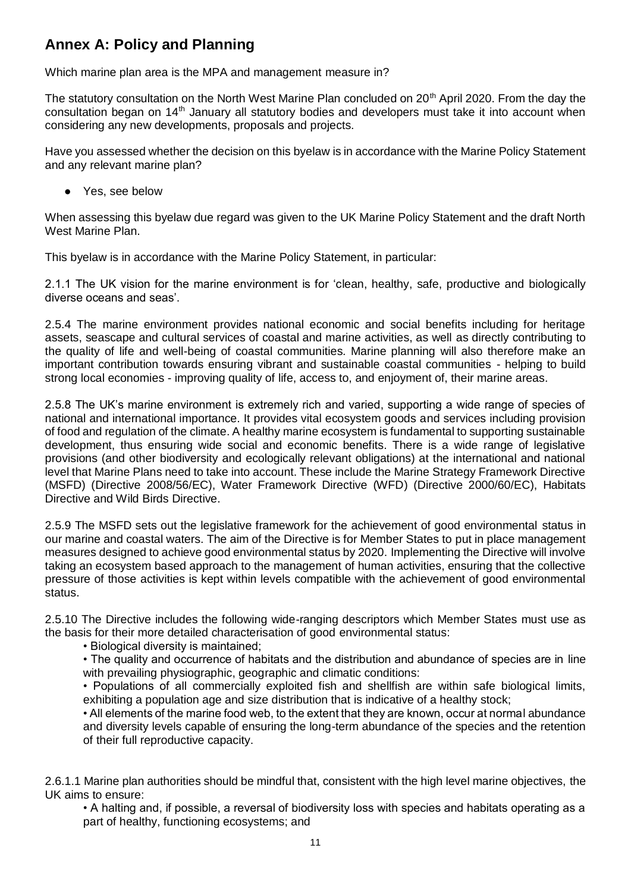# **Annex A: Policy and Planning**

Which marine plan area is the MPA and management measure in?

The statutory consultation on the North West Marine Plan concluded on 20<sup>th</sup> April 2020. From the day the consultation began on 14th January all statutory bodies and developers must take it into account when considering any new developments, proposals and projects.

Have you assessed whether the decision on this byelaw is in accordance with the Marine Policy Statement and any relevant marine plan?

● Yes, see below

When assessing this byelaw due regard was given to the UK Marine Policy Statement and the draft North West Marine Plan.

This byelaw is in accordance with the Marine Policy Statement, in particular:

2.1.1 The UK vision for the marine environment is for 'clean, healthy, safe, productive and biologically diverse oceans and seas'.

2.5.4 The marine environment provides national economic and social benefits including for heritage assets, seascape and cultural services of coastal and marine activities, as well as directly contributing to the quality of life and well-being of coastal communities. Marine planning will also therefore make an important contribution towards ensuring vibrant and sustainable coastal communities - helping to build strong local economies - improving quality of life, access to, and enjoyment of, their marine areas.

2.5.8 The UK's marine environment is extremely rich and varied, supporting a wide range of species of national and international importance. It provides vital ecosystem goods and services including provision of food and regulation of the climate. A healthy marine ecosystem is fundamental to supporting sustainable development, thus ensuring wide social and economic benefits. There is a wide range of legislative provisions (and other biodiversity and ecologically relevant obligations) at the international and national level that Marine Plans need to take into account. These include the Marine Strategy Framework Directive (MSFD) (Directive 2008/56/EC), Water Framework Directive (WFD) (Directive 2000/60/EC), Habitats Directive and Wild Birds Directive.

2.5.9 The MSFD sets out the legislative framework for the achievement of good environmental status in our marine and coastal waters. The aim of the Directive is for Member States to put in place management measures designed to achieve good environmental status by 2020. Implementing the Directive will involve taking an ecosystem based approach to the management of human activities, ensuring that the collective pressure of those activities is kept within levels compatible with the achievement of good environmental status.

2.5.10 The Directive includes the following wide-ranging descriptors which Member States must use as the basis for their more detailed characterisation of good environmental status:

• Biological diversity is maintained;

• The quality and occurrence of habitats and the distribution and abundance of species are in line with prevailing physiographic, geographic and climatic conditions:

• Populations of all commercially exploited fish and shellfish are within safe biological limits, exhibiting a population age and size distribution that is indicative of a healthy stock;

• All elements of the marine food web, to the extent that they are known, occur at normal abundance and diversity levels capable of ensuring the long-term abundance of the species and the retention of their full reproductive capacity.

2.6.1.1 Marine plan authorities should be mindful that, consistent with the high level marine objectives, the UK aims to ensure:

• A halting and, if possible, a reversal of biodiversity loss with species and habitats operating as a part of healthy, functioning ecosystems; and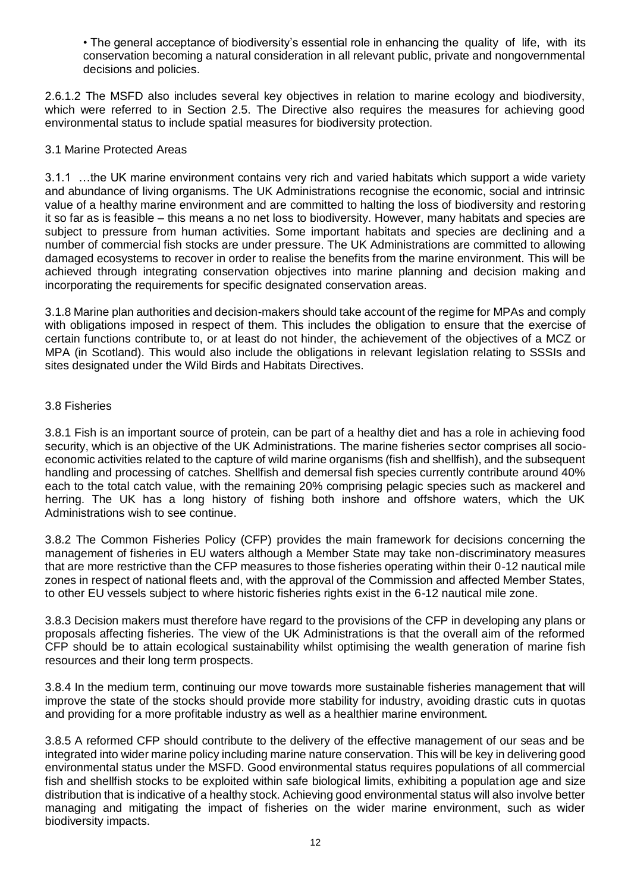• The general acceptance of biodiversity's essential role in enhancing the quality of life, with its conservation becoming a natural consideration in all relevant public, private and nongovernmental decisions and policies.

2.6.1.2 The MSFD also includes several key objectives in relation to marine ecology and biodiversity, which were referred to in Section 2.5. The Directive also requires the measures for achieving good environmental status to include spatial measures for biodiversity protection.

#### 3.1 Marine Protected Areas

3.1.1 …the UK marine environment contains very rich and varied habitats which support a wide variety and abundance of living organisms. The UK Administrations recognise the economic, social and intrinsic value of a healthy marine environment and are committed to halting the loss of biodiversity and restoring it so far as is feasible – this means a no net loss to biodiversity. However, many habitats and species are subject to pressure from human activities. Some important habitats and species are declining and a number of commercial fish stocks are under pressure. The UK Administrations are committed to allowing damaged ecosystems to recover in order to realise the benefits from the marine environment. This will be achieved through integrating conservation objectives into marine planning and decision making and incorporating the requirements for specific designated conservation areas.

3.1.8 Marine plan authorities and decision-makers should take account of the regime for MPAs and comply with obligations imposed in respect of them. This includes the obligation to ensure that the exercise of certain functions contribute to, or at least do not hinder, the achievement of the objectives of a MCZ or MPA (in Scotland). This would also include the obligations in relevant legislation relating to SSSIs and sites designated under the Wild Birds and Habitats Directives.

#### 3.8 Fisheries

3.8.1 Fish is an important source of protein, can be part of a healthy diet and has a role in achieving food security, which is an objective of the UK Administrations. The marine fisheries sector comprises all socioeconomic activities related to the capture of wild marine organisms (fish and shellfish), and the subsequent handling and processing of catches. Shellfish and demersal fish species currently contribute around 40% each to the total catch value, with the remaining 20% comprising pelagic species such as mackerel and herring. The UK has a long history of fishing both inshore and offshore waters, which the UK Administrations wish to see continue.

3.8.2 The Common Fisheries Policy (CFP) provides the main framework for decisions concerning the management of fisheries in EU waters although a Member State may take non-discriminatory measures that are more restrictive than the CFP measures to those fisheries operating within their 0-12 nautical mile zones in respect of national fleets and, with the approval of the Commission and affected Member States, to other EU vessels subject to where historic fisheries rights exist in the 6-12 nautical mile zone.

3.8.3 Decision makers must therefore have regard to the provisions of the CFP in developing any plans or proposals affecting fisheries. The view of the UK Administrations is that the overall aim of the reformed CFP should be to attain ecological sustainability whilst optimising the wealth generation of marine fish resources and their long term prospects.

3.8.4 In the medium term, continuing our move towards more sustainable fisheries management that will improve the state of the stocks should provide more stability for industry, avoiding drastic cuts in quotas and providing for a more profitable industry as well as a healthier marine environment.

3.8.5 A reformed CFP should contribute to the delivery of the effective management of our seas and be integrated into wider marine policy including marine nature conservation. This will be key in delivering good environmental status under the MSFD. Good environmental status requires populations of all commercial fish and shellfish stocks to be exploited within safe biological limits, exhibiting a population age and size distribution that is indicative of a healthy stock. Achieving good environmental status will also involve better managing and mitigating the impact of fisheries on the wider marine environment, such as wider biodiversity impacts.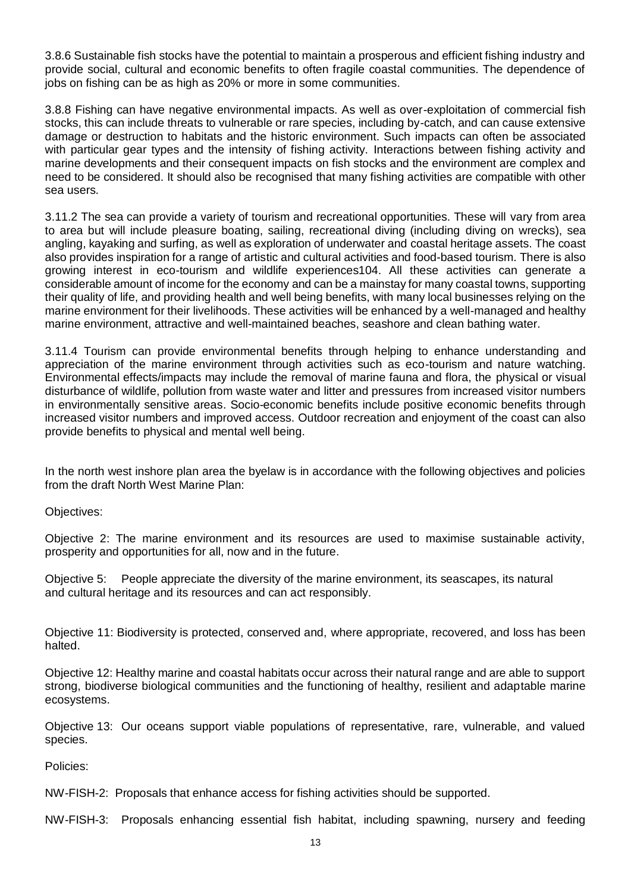3.8.6 Sustainable fish stocks have the potential to maintain a prosperous and efficient fishing industry and provide social, cultural and economic benefits to often fragile coastal communities. The dependence of jobs on fishing can be as high as 20% or more in some communities.

3.8.8 Fishing can have negative environmental impacts. As well as over-exploitation of commercial fish stocks, this can include threats to vulnerable or rare species, including by-catch, and can cause extensive damage or destruction to habitats and the historic environment. Such impacts can often be associated with particular gear types and the intensity of fishing activity. Interactions between fishing activity and marine developments and their consequent impacts on fish stocks and the environment are complex and need to be considered. It should also be recognised that many fishing activities are compatible with other sea users.

3.11.2 The sea can provide a variety of tourism and recreational opportunities. These will vary from area to area but will include pleasure boating, sailing, recreational diving (including diving on wrecks), sea angling, kayaking and surfing, as well as exploration of underwater and coastal heritage assets. The coast also provides inspiration for a range of artistic and cultural activities and food-based tourism. There is also growing interest in eco-tourism and wildlife experiences104. All these activities can generate a considerable amount of income for the economy and can be a mainstay for many coastal towns, supporting their quality of life, and providing health and well being benefits, with many local businesses relying on the marine environment for their livelihoods. These activities will be enhanced by a well-managed and healthy marine environment, attractive and well-maintained beaches, seashore and clean bathing water.

3.11.4 Tourism can provide environmental benefits through helping to enhance understanding and appreciation of the marine environment through activities such as eco-tourism and nature watching. Environmental effects/impacts may include the removal of marine fauna and flora, the physical or visual disturbance of wildlife, pollution from waste water and litter and pressures from increased visitor numbers in environmentally sensitive areas. Socio-economic benefits include positive economic benefits through increased visitor numbers and improved access. Outdoor recreation and enjoyment of the coast can also provide benefits to physical and mental well being.

In the north west inshore plan area the byelaw is in accordance with the following objectives and policies from the draft North West Marine Plan:

Objectives:

Objective 2: The marine environment and its resources are used to maximise sustainable activity, prosperity and opportunities for all, now and in the future.

Objective 5: People appreciate the diversity of the marine environment, its seascapes, its natural and cultural heritage and its resources and can act responsibly.

Objective 11: Biodiversity is protected, conserved and, where appropriate, recovered, and loss has been halted.

Objective 12: Healthy marine and coastal habitats occur across their natural range and are able to support strong, biodiverse biological communities and the functioning of healthy, resilient and adaptable marine ecosystems.

Objective 13: Our oceans support viable populations of representative, rare, vulnerable, and valued species.

Policies:

NW-FISH-2: Proposals that enhance access for fishing activities should be supported.

NW-FISH-3: Proposals enhancing essential fish habitat, including spawning, nursery and feeding